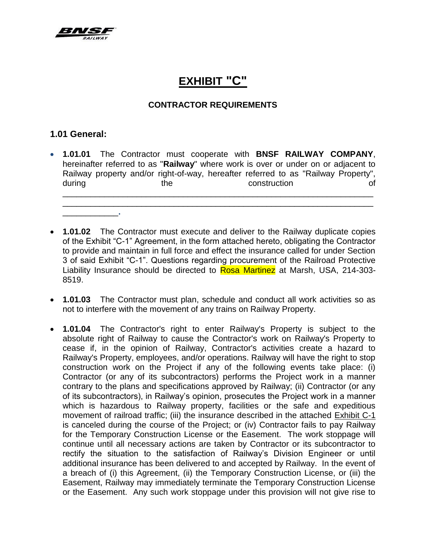

# **EXHIBIT "C"**

#### **CONTRACTOR REQUIREMENTS**

#### **1.01 General:**

\_\_\_\_\_\_\_\_\_\_\_\_**.**

 **1.01.01** The Contractor must cooperate with **BNSF RAILWAY COMPANY**, hereinafter referred to as "**Railway**" where work is over or under on or adjacent to Railway property and/or right-of-way, hereafter referred to as "Railway Property", during the the construction of \_\_\_\_\_\_\_\_\_\_\_\_\_\_\_\_\_\_\_\_\_\_\_\_\_\_\_\_\_\_\_\_\_\_\_\_\_\_\_\_\_\_\_\_\_\_\_\_\_\_\_\_\_\_\_\_\_\_\_\_\_\_\_\_\_\_\_

\_\_\_\_\_\_\_\_\_\_\_\_\_\_\_\_\_\_\_\_\_\_\_\_\_\_\_\_\_\_\_\_\_\_\_\_\_\_\_\_\_\_\_\_\_\_\_\_\_\_\_\_\_\_\_\_\_\_\_\_\_\_\_\_\_\_\_

- **1.01.02** The Contractor must execute and deliver to the Railway duplicate copies of the Exhibit "C-1" Agreement, in the form attached hereto, obligating the Contractor to provide and maintain in full force and effect the insurance called for under Section 3 of said Exhibit "C-1". Questions regarding procurement of the Railroad Protective Liability Insurance should be directed to **Rosa Martinez** at Marsh, USA, 214-303-8519.
- **1.01.03** The Contractor must plan, schedule and conduct all work activities so as not to interfere with the movement of any trains on Railway Property.
- **1.01.04** The Contractor's right to enter Railway's Property is subject to the absolute right of Railway to cause the Contractor's work on Railway's Property to cease if, in the opinion of Railway, Contractor's activities create a hazard to Railway's Property, employees, and/or operations. Railway will have the right to stop construction work on the Project if any of the following events take place: (i) Contractor (or any of its subcontractors) performs the Project work in a manner contrary to the plans and specifications approved by Railway; (ii) Contractor (or any of its subcontractors), in Railway's opinion, prosecutes the Project work in a manner which is hazardous to Railway property, facilities or the safe and expeditious movement of railroad traffic; (iii) the insurance described in the attached Exhibit C-1 is canceled during the course of the Project; or (iv) Contractor fails to pay Railway for the Temporary Construction License or the Easement. The work stoppage will continue until all necessary actions are taken by Contractor or its subcontractor to rectify the situation to the satisfaction of Railway's Division Engineer or until additional insurance has been delivered to and accepted by Railway. In the event of a breach of (i) this Agreement, (ii) the Temporary Construction License, or (iii) the Easement, Railway may immediately terminate the Temporary Construction License or the Easement. Any such work stoppage under this provision will not give rise to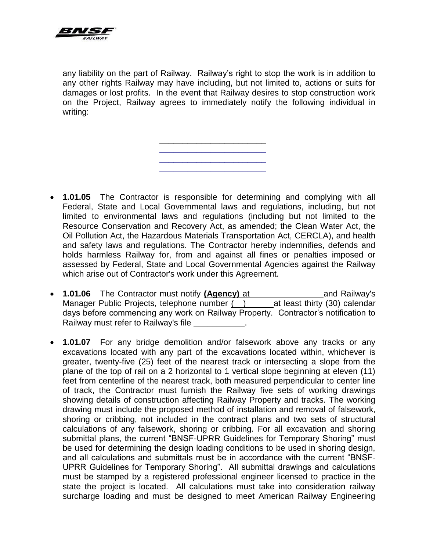

any liability on the part of Railway. Railway's right to stop the work is in addition to any other rights Railway may have including, but not limited to, actions or suits for damages or lost profits. In the event that Railway desires to stop construction work on the Project, Railway agrees to immediately notify the following individual in writing:

> \_\_\_\_\_\_\_\_\_\_\_\_\_\_\_\_\_\_\_\_\_\_\_ \_\_\_\_\_\_\_\_\_\_\_\_\_\_\_\_\_\_\_\_\_\_\_ \_\_\_\_\_\_\_\_\_\_\_\_\_\_\_\_\_\_\_\_\_\_\_ \_\_\_\_\_\_\_\_\_\_\_\_\_\_\_\_\_\_\_\_\_\_\_

- **1.01.05** The Contractor is responsible for determining and complying with all Federal, State and Local Governmental laws and regulations, including, but not limited to environmental laws and regulations (including but not limited to the Resource Conservation and Recovery Act, as amended; the Clean Water Act, the Oil Pollution Act, the Hazardous Materials Transportation Act, CERCLA), and health and safety laws and regulations. The Contractor hereby indemnifies, defends and holds harmless Railway for, from and against all fines or penalties imposed or assessed by Federal, State and Local Governmental Agencies against the Railway which arise out of Contractor's work under this Agreement.
- **1.01.06** The Contractor must notify **(Agency)** at and Railway's Manager Public Projects, telephone number () at least thirty (30) calendar days before commencing any work on Railway Property. Contractor's notification to Railway must refer to Railway's file
- **1.01.07** For any bridge demolition and/or falsework above any tracks or any excavations located with any part of the excavations located within, whichever is greater, twenty-five (25) feet of the nearest track or intersecting a slope from the plane of the top of rail on a 2 horizontal to 1 vertical slope beginning at eleven (11) feet from centerline of the nearest track, both measured perpendicular to center line of track, the Contractor must furnish the Railway five sets of working drawings showing details of construction affecting Railway Property and tracks. The working drawing must include the proposed method of installation and removal of falsework, shoring or cribbing, not included in the contract plans and two sets of structural calculations of any falsework, shoring or cribbing. For all excavation and shoring submittal plans, the current "BNSF-UPRR Guidelines for Temporary Shoring" must be used for determining the design loading conditions to be used in shoring design, and all calculations and submittals must be in accordance with the current "BNSF-UPRR Guidelines for Temporary Shoring". All submittal drawings and calculations must be stamped by a registered professional engineer licensed to practice in the state the project is located. All calculations must take into consideration railway surcharge loading and must be designed to meet American Railway Engineering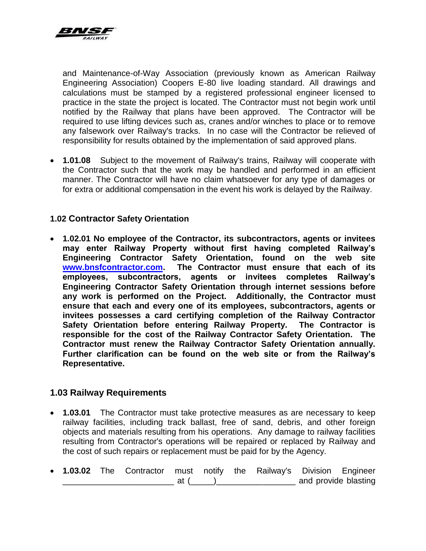

and Maintenance-of-Way Association (previously known as American Railway Engineering Association) Coopers E-80 live loading standard. All drawings and calculations must be stamped by a registered professional engineer licensed to practice in the state the project is located. The Contractor must not begin work until notified by the Railway that plans have been approved. The Contractor will be required to use lifting devices such as, cranes and/or winches to place or to remove any falsework over Railway's tracks. In no case will the Contractor be relieved of responsibility for results obtained by the implementation of said approved plans.

 **1.01.08** Subject to the movement of Railway's trains, Railway will cooperate with the Contractor such that the work may be handled and performed in an efficient manner. The Contractor will have no claim whatsoever for any type of damages or for extra or additional compensation in the event his work is delayed by the Railway.

#### **1.02 Contractor Safety Orientation**

 **1.02.01 No employee of the Contractor, its subcontractors, agents or invitees may enter Railway Property without first having completed Railway's Engineering Contractor Safety Orientation, found on the web site [www.bnsfcontractor.com.](http://www.bnsfcontractor.com/) The Contractor must ensure that each of its employees, subcontractors, agents or invitees completes Railway's Engineering Contractor Safety Orientation through internet sessions before any work is performed on the Project. Additionally, the Contractor must ensure that each and every one of its employees, subcontractors, agents or invitees possesses a card certifying completion of the Railway Contractor Safety Orientation before entering Railway Property. The Contractor is responsible for the cost of the Railway Contractor Safety Orientation. The Contractor must renew the Railway Contractor Safety Orientation annually. Further clarification can be found on the web site or from the Railway's Representative.** 

#### **1.03 Railway Requirements**

- **1.03.01** The Contractor must take protective measures as are necessary to keep railway facilities, including track ballast, free of sand, debris, and other foreign objects and materials resulting from his operations. Any damage to railway facilities resulting from Contractor's operations will be repaired or replaced by Railway and the cost of such repairs or replacement must be paid for by the Agency.
- **1.03.02** The Contractor must notify the Railway's Division Engineer \_\_\_ at (\_\_\_\_\_)\_\_\_\_\_\_\_\_\_\_\_\_\_\_\_\_\_\_\_\_\_\_\_\_\_\_ and provide blasting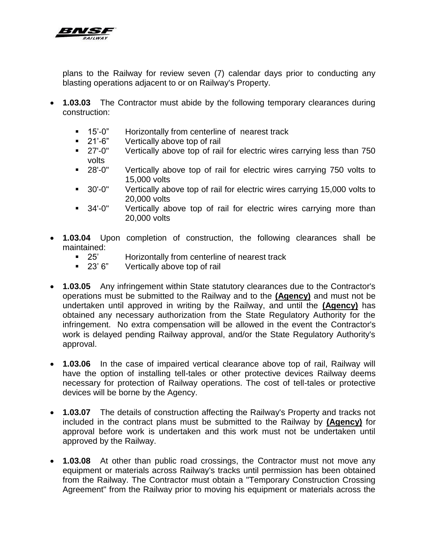

plans to the Railway for review seven (7) calendar days prior to conducting any blasting operations adjacent to or on Railway's Property.

- **1.03.03** The Contractor must abide by the following temporary clearances during construction:
	- 15'-0" Horizontally from centerline of nearest track
	- 21'-6" Vertically above top of rail
	- **27'-0"** Vertically above top of rail for electric wires carrying less than 750 volts
	- 28'-0" Vertically above top of rail for electric wires carrying 750 volts to 15,000 volts
	- 30'-0" Vertically above top of rail for electric wires carrying 15,000 volts to 20,000 volts
	- **34'-0"** Vertically above top of rail for electric wires carrying more than 20,000 volts
- **1.03.04** Upon completion of construction, the following clearances shall be maintained:
	- 25' Horizontally from centerline of nearest track<br>■ 23' 6" Vertically above top of rail
	- Vertically above top of rail
- **1.03.05** Any infringement within State statutory clearances due to the Contractor's operations must be submitted to the Railway and to the **(Agency)** and must not be undertaken until approved in writing by the Railway, and until the **(Agency)** has obtained any necessary authorization from the State Regulatory Authority for the infringement. No extra compensation will be allowed in the event the Contractor's work is delayed pending Railway approval, and/or the State Regulatory Authority's approval.
- **1.03.06** In the case of impaired vertical clearance above top of rail, Railway will have the option of installing tell-tales or other protective devices Railway deems necessary for protection of Railway operations. The cost of tell-tales or protective devices will be borne by the Agency.
- **1.03.07** The details of construction affecting the Railway's Property and tracks not included in the contract plans must be submitted to the Railway by **(Agency)** for approval before work is undertaken and this work must not be undertaken until approved by the Railway.
- **1.03.08** At other than public road crossings, the Contractor must not move any equipment or materials across Railway's tracks until permission has been obtained from the Railway. The Contractor must obtain a "Temporary Construction Crossing Agreement" from the Railway prior to moving his equipment or materials across the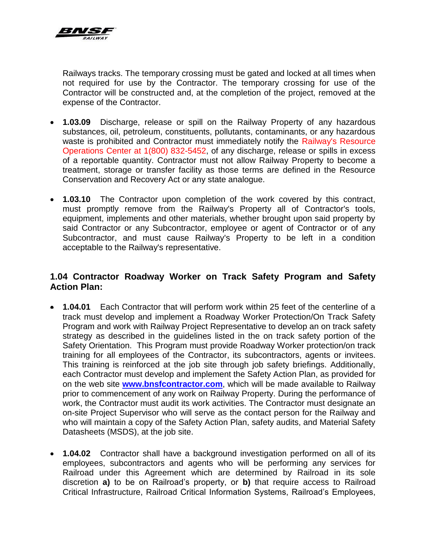

Railways tracks. The temporary crossing must be gated and locked at all times when not required for use by the Contractor. The temporary crossing for use of the Contractor will be constructed and, at the completion of the project, removed at the expense of the Contractor.

- **1.03.09** Discharge, release or spill on the Railway Property of any hazardous substances, oil, petroleum, constituents, pollutants, contaminants, or any hazardous waste is prohibited and Contractor must immediately notify the Railway's Resource Operations Center at 1(800) 832-5452, of any discharge, release or spills in excess of a reportable quantity. Contractor must not allow Railway Property to become a treatment, storage or transfer facility as those terms are defined in the Resource Conservation and Recovery Act or any state analogue.
- **1.03.10** The Contractor upon completion of the work covered by this contract, must promptly remove from the Railway's Property all of Contractor's tools, equipment, implements and other materials, whether brought upon said property by said Contractor or any Subcontractor, employee or agent of Contractor or of any Subcontractor, and must cause Railway's Property to be left in a condition acceptable to the Railway's representative.

# **1.04 Contractor Roadway Worker on Track Safety Program and Safety Action Plan:**

- **1.04.01** Each Contractor that will perform work within 25 feet of the centerline of a track must develop and implement a Roadway Worker Protection/On Track Safety Program and work with Railway Project Representative to develop an on track safety strategy as described in the guidelines listed in the on track safety portion of the Safety Orientation. This Program must provide Roadway Worker protection/on track training for all employees of the Contractor, its subcontractors, agents or invitees. This training is reinforced at the job site through job safety briefings. Additionally, each Contractor must develop and implement the Safety Action Plan, as provided for on the web site **[www.bnsfcontractor.com](http://www.bnsfcontractor.com/)**, which will be made available to Railway prior to commencement of any work on Railway Property. During the performance of work, the Contractor must audit its work activities. The Contractor must designate an on-site Project Supervisor who will serve as the contact person for the Railway and who will maintain a copy of the Safety Action Plan, safety audits, and Material Safety Datasheets (MSDS), at the job site.
- **1.04.02** Contractor shall have a background investigation performed on all of its employees, subcontractors and agents who will be performing any services for Railroad under this Agreement which are determined by Railroad in its sole discretion **a)** to be on Railroad's property, or **b)** that require access to Railroad Critical Infrastructure, Railroad Critical Information Systems, Railroad's Employees,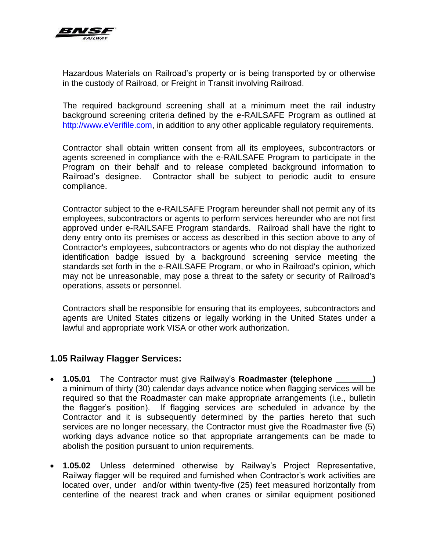

Hazardous Materials on Railroad's property or is being transported by or otherwise in the custody of Railroad, or Freight in Transit involving Railroad.

The required background screening shall at a minimum meet the rail industry background screening criteria defined by the e-RAILSAFE Program as outlined at [http://www.eVerifile.com,](http://www.everifile.com/) in addition to any other applicable regulatory requirements.

Contractor shall obtain written consent from all its employees, subcontractors or agents screened in compliance with the e-RAILSAFE Program to participate in the Program on their behalf and to release completed background information to Railroad's designee. Contractor shall be subject to periodic audit to ensure compliance.

Contractor subject to the e-RAILSAFE Program hereunder shall not permit any of its employees, subcontractors or agents to perform services hereunder who are not first approved under e-RAILSAFE Program standards. Railroad shall have the right to deny entry onto its premises or access as described in this section above to any of Contractor's employees, subcontractors or agents who do not display the authorized identification badge issued by a background screening service meeting the standards set forth in the e-RAILSAFE Program, or who in Railroad's opinion, which may not be unreasonable, may pose a threat to the safety or security of Railroad's operations, assets or personnel.

Contractors shall be responsible for ensuring that its employees, subcontractors and agents are United States citizens or legally working in the United States under a lawful and appropriate work VISA or other work authorization.

#### **1.05 Railway Flagger Services:**

- **1.05.01** The Contractor must give Railway's **Roadmaster (telephone** a minimum of thirty (30) calendar days advance notice when flagging services will be required so that the Roadmaster can make appropriate arrangements (i.e., bulletin the flagger's position). If flagging services are scheduled in advance by the Contractor and it is subsequently determined by the parties hereto that such services are no longer necessary, the Contractor must give the Roadmaster five (5) working days advance notice so that appropriate arrangements can be made to abolish the position pursuant to union requirements.
- **1.05.02** Unless determined otherwise by Railway's Project Representative, Railway flagger will be required and furnished when Contractor's work activities are located over, under and/or within twenty-five (25) feet measured horizontally from centerline of the nearest track and when cranes or similar equipment positioned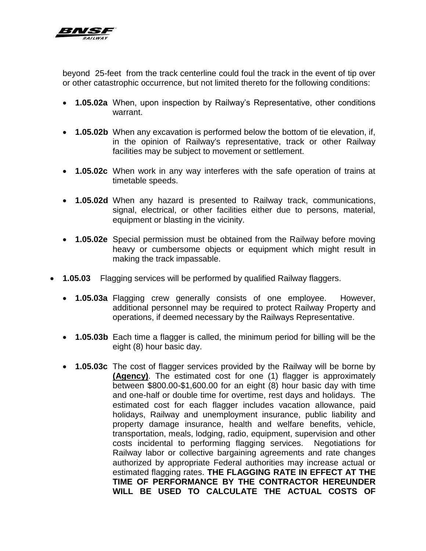

beyond 25-feet from the track centerline could foul the track in the event of tip over or other catastrophic occurrence, but not limited thereto for the following conditions:

- **1.05.02a** When, upon inspection by Railway's Representative, other conditions warrant.
- **1.05.02b** When any excavation is performed below the bottom of tie elevation, if, in the opinion of Railway's representative, track or other Railway facilities may be subject to movement or settlement.
- **1.05.02c** When work in any way interferes with the safe operation of trains at timetable speeds.
- **1.05.02d** When any hazard is presented to Railway track, communications, signal, electrical, or other facilities either due to persons, material, equipment or blasting in the vicinity.
- **1.05.02e** Special permission must be obtained from the Railway before moving heavy or cumbersome objects or equipment which might result in making the track impassable.
- **1.05.03** Flagging services will be performed by qualified Railway flaggers.
	- **1.05.03a** Flagging crew generally consists of one employee. However, additional personnel may be required to protect Railway Property and operations, if deemed necessary by the Railways Representative.
	- **1.05.03b** Each time a flagger is called, the minimum period for billing will be the eight (8) hour basic day.
	- **1.05.03c** The cost of flagger services provided by the Railway will be borne by **(Agency)**. The estimated cost for one (1) flagger is approximately between \$800.00-\$1,600.00 for an eight (8) hour basic day with time and one-half or double time for overtime, rest days and holidays. The estimated cost for each flagger includes vacation allowance, paid holidays, Railway and unemployment insurance, public liability and property damage insurance, health and welfare benefits, vehicle, transportation, meals, lodging, radio, equipment, supervision and other costs incidental to performing flagging services. Negotiations for Railway labor or collective bargaining agreements and rate changes authorized by appropriate Federal authorities may increase actual or estimated flagging rates. **THE FLAGGING RATE IN EFFECT AT THE TIME OF PERFORMANCE BY THE CONTRACTOR HEREUNDER WILL BE USED TO CALCULATE THE ACTUAL COSTS OF**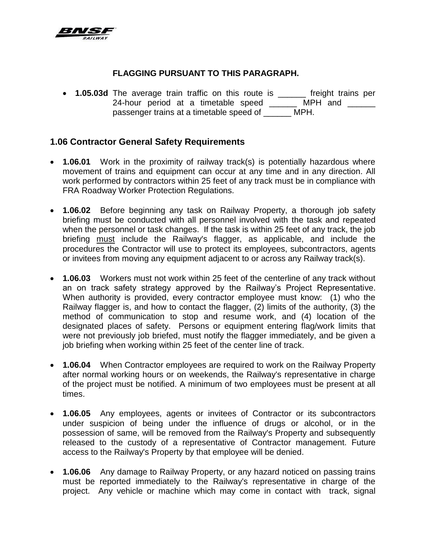

#### **FLAGGING PURSUANT TO THIS PARAGRAPH.**

 **1.05.03d** The average train traffic on this route is \_\_\_\_\_\_ freight trains per 24-hour period at a timetable speed \_\_\_\_\_\_ MPH and \_ passenger trains at a timetable speed of \_\_\_\_\_\_ MPH.

#### **1.06 Contractor General Safety Requirements**

- **1.06.01** Work in the proximity of railway track(s) is potentially hazardous where movement of trains and equipment can occur at any time and in any direction. All work performed by contractors within 25 feet of any track must be in compliance with FRA Roadway Worker Protection Regulations.
- **1.06.02** Before beginning any task on Railway Property, a thorough job safety briefing must be conducted with all personnel involved with the task and repeated when the personnel or task changes. If the task is within 25 feet of any track, the job briefing must include the Railway's flagger, as applicable, and include the procedures the Contractor will use to protect its employees, subcontractors, agents or invitees from moving any equipment adjacent to or across any Railway track(s).
- **1.06.03** Workers must not work within 25 feet of the centerline of any track without an on track safety strategy approved by the Railway's Project Representative. When authority is provided, every contractor employee must know: (1) who the Railway flagger is, and how to contact the flagger, (2) limits of the authority, (3) the method of communication to stop and resume work, and (4) location of the designated places of safety. Persons or equipment entering flag/work limits that were not previously job briefed, must notify the flagger immediately, and be given a job briefing when working within 25 feet of the center line of track.
- **1.06.04** When Contractor employees are required to work on the Railway Property after normal working hours or on weekends, the Railway's representative in charge of the project must be notified. A minimum of two employees must be present at all times.
- **1.06.05** Any employees, agents or invitees of Contractor or its subcontractors under suspicion of being under the influence of drugs or alcohol, or in the possession of same, will be removed from the Railway's Property and subsequently released to the custody of a representative of Contractor management. Future access to the Railway's Property by that employee will be denied.
- **1.06.06** Any damage to Railway Property, or any hazard noticed on passing trains must be reported immediately to the Railway's representative in charge of the project. Any vehicle or machine which may come in contact with track, signal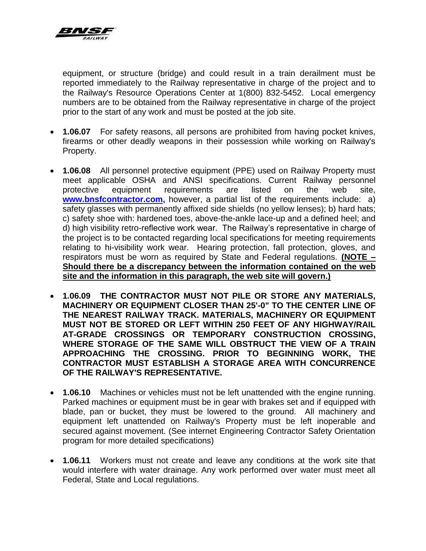

equipment, or structure (bridge) and could result in a train derailment must be reported immediately to the Railway representative in charge of the project and to the Railway's Resource Operations Center at 1(800) 832-5452. Local emergency numbers are to be obtained from the Railway representative in charge of the project prior to the start of any work and must be posted at the job site.

- **1.06.07** For safety reasons, all persons are prohibited from having pocket knives, firearms or other deadly weapons in their possession while working on Railway's Property.
- **1.06.08** All personnel protective equipment (PPE) used on Railway Property must meet applicable OSHA and ANSI specifications. Current Railway personnel protective equipment requirements are listed on the web site, **[www.bnsfcontractor.com,](http://www.bnsfcontractor.com/)** however, a partial list of the requirements include: a) safety glasses with permanently affixed side shields (no yellow lenses); b) hard hats; c) safety shoe with: hardened toes, above-the-ankle lace-up and a defined heel; and d) high visibility retro-reflective work wear. The Railway's representative in charge of the project is to be contacted regarding local specifications for meeting requirements relating to hi-visibility work wear. Hearing protection, fall protection, gloves, and respirators must be worn as required by State and Federal regulations. **(NOTE – Should there be a discrepancy between the information contained on the web site and the information in this paragraph, the web site will govern.)**
- **1.06.09 THE CONTRACTOR MUST NOT PILE OR STORE ANY MATERIALS, MACHINERY OR EQUIPMENT CLOSER THAN 25'-0" TO THE CENTER LINE OF THE NEAREST RAILWAY TRACK. MATERIALS, MACHINERY OR EQUIPMENT MUST NOT BE STORED OR LEFT WITHIN 250 FEET OF ANY HIGHWAY/RAIL AT-GRADE CROSSINGS OR TEMPORARY CONSTRUCTION CROSSING, WHERE STORAGE OF THE SAME WILL OBSTRUCT THE VIEW OF A TRAIN APPROACHING THE CROSSING. PRIOR TO BEGINNING WORK, THE CONTRACTOR MUST ESTABLISH A STORAGE AREA WITH CONCURRENCE OF THE RAILWAY'S REPRESENTATIVE.**
- **1.06.10** Machines or vehicles must not be left unattended with the engine running. Parked machines or equipment must be in gear with brakes set and if equipped with blade, pan or bucket, they must be lowered to the ground. All machinery and equipment left unattended on Railway's Property must be left inoperable and secured against movement. (See internet Engineering Contractor Safety Orientation program for more detailed specifications)
- **1.06.11** Workers must not create and leave any conditions at the work site that would interfere with water drainage. Any work performed over water must meet all Federal, State and Local regulations.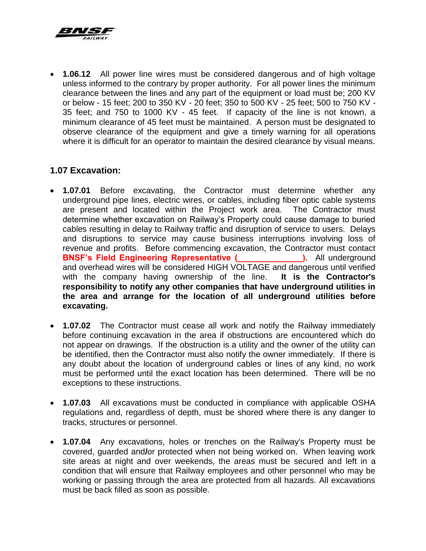

 **1.06.12** All power line wires must be considered dangerous and of high voltage unless informed to the contrary by proper authority. For all power lines the minimum clearance between the lines and any part of the equipment or load must be; 200 KV or below - 15 feet; 200 to 350 KV - 20 feet; 350 to 500 KV - 25 feet; 500 to 750 KV - 35 feet; and 750 to 1000 KV - 45 feet. If capacity of the line is not known, a minimum clearance of 45 feet must be maintained. A person must be designated to observe clearance of the equipment and give a timely warning for all operations where it is difficult for an operator to maintain the desired clearance by visual means.

# **1.07 Excavation:**

- **1.07.01** Before excavating, the Contractor must determine whether any underground pipe lines, electric wires, or cables, including fiber optic cable systems are present and located within the Project work area. The Contractor must determine whether excavation on Railway's Property could cause damage to buried cables resulting in delay to Railway traffic and disruption of service to users. Delays and disruptions to service may cause business interruptions involving loss of revenue and profits. Before commencing excavation, the Contractor must contact **BNSF's Field Engineering Representative (Castelling 2015).** All underground and overhead wires will be considered HIGH VOLTAGE and dangerous until verified with the company having ownership of the line. **It is the Contractor's responsibility to notify any other companies that have underground utilities in the area and arrange for the location of all underground utilities before excavating.**
- **1.07.02** The Contractor must cease all work and notify the Railway immediately before continuing excavation in the area if obstructions are encountered which do not appear on drawings. If the obstruction is a utility and the owner of the utility can be identified, then the Contractor must also notify the owner immediately. If there is any doubt about the location of underground cables or lines of any kind, no work must be performed until the exact location has been determined. There will be no exceptions to these instructions.
- **1.07.03** All excavations must be conducted in compliance with applicable OSHA regulations and, regardless of depth, must be shored where there is any danger to tracks, structures or personnel.
- **1.07.04** Any excavations, holes or trenches on the Railway's Property must be covered, guarded and**/**or protected when not being worked on. When leaving work site areas at night and over weekends, the areas must be secured and left in a condition that will ensure that Railway employees and other personnel who may be working or passing through the area are protected from all hazards. All excavations must be back filled as soon as possible.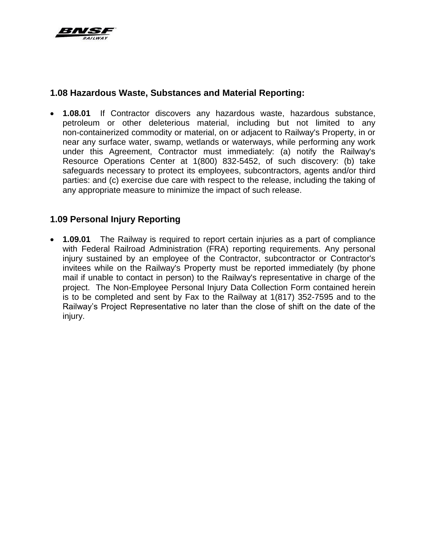

# **1.08 Hazardous Waste, Substances and Material Reporting:**

 **1.08.01** If Contractor discovers any hazardous waste, hazardous substance, petroleum or other deleterious material, including but not limited to any non-containerized commodity or material, on or adjacent to Railway's Property, in or near any surface water, swamp, wetlands or waterways, while performing any work under this Agreement, Contractor must immediately: (a) notify the Railway's Resource Operations Center at 1(800) 832-5452, of such discovery: (b) take safeguards necessary to protect its employees, subcontractors, agents and/or third parties: and (c) exercise due care with respect to the release, including the taking of any appropriate measure to minimize the impact of such release.

# **1.09 Personal Injury Reporting**

 **1.09.01** The Railway is required to report certain injuries as a part of compliance with Federal Railroad Administration (FRA) reporting requirements. Any personal injury sustained by an employee of the Contractor, subcontractor or Contractor's invitees while on the Railway's Property must be reported immediately (by phone mail if unable to contact in person) to the Railway's representative in charge of the project. The Non-Employee Personal Injury Data Collection Form contained herein is to be completed and sent by Fax to the Railway at 1(817) 352-7595 and to the Railway's Project Representative no later than the close of shift on the date of the injury.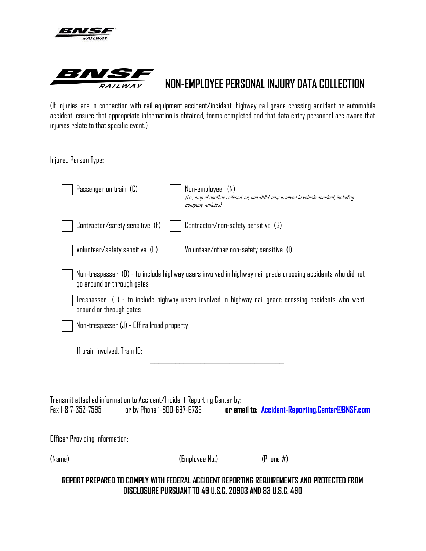



# **NON-EMPLOYEE PERSONAL INJURY DATA COLLECTION**

(If injuries are in connection with rail equipment accident/incident, highway rail grade crossing accident or automobile accident, ensure that appropriate information is obtained, forms completed and that data entry personnel are aware that injuries relate to that specific event.)

Injured Person Type:

| Passenger on train (C)                                                                                                      | Non-employee (N)<br>(i.e., emp of another railroad, or, non-BNSF emp involved in vehicle accident, including<br>company vehicles) |
|-----------------------------------------------------------------------------------------------------------------------------|-----------------------------------------------------------------------------------------------------------------------------------|
| Contractor/safety sensitive (F)                                                                                             | Contractor/non-safety sensitive (G)                                                                                               |
| Volunteer/safety sensitive (H)                                                                                              | Volunteer/other non-safety sensitive (I)                                                                                          |
| go around or through gates                                                                                                  | Non-trespasser (D) - to include highway users involved in highway rail grade crossing accidents who did not                       |
| around or through gates                                                                                                     | Trespasser   (E) - to include highway users involved in highway rail grade crossing accidents who went                            |
| Non-trespasser (J) - Off railroad property                                                                                  |                                                                                                                                   |
| If train involved. Train ID:                                                                                                |                                                                                                                                   |
| Transmit attached information to Accident/Incident Reporting Center by:<br>Fax 1-817-352-7595<br>or by Phone 1-800-697-6736 | or email to: Accident-Reporting.Center@BNSF.com                                                                                   |
| Officer Providing Information:                                                                                              |                                                                                                                                   |
| (Name)                                                                                                                      | (Employee No.)<br>(Phone $#$ )                                                                                                    |
|                                                                                                                             | REPORT PREPARED TO COMPLY WITH FEDERAL ACCIDENT REPORTING REQUIREMENTS AND PROTECTED FROM                                         |

**DISCLOSURE PURSUANT TO 49 U.S.C. 20903 AND 83 U.S.C. 490**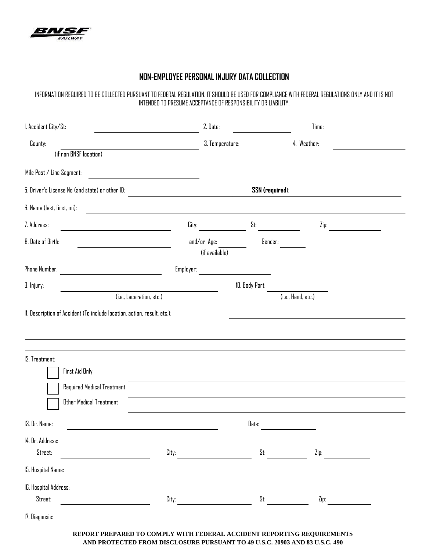

#### **NON-EMPLOYEE PERSONAL INJURY DATA COLLECTION**

INFORMATION REQUIRED TO BE COLLECTED PURSUANT TO FEDERAL REGULATION. IT SHOULD BE USED FOR COMPLIANCE WITH FEDERAL REGULATIONS ONLY AND IT IS NOT INTENDED TO PRESUME ACCEPTANCE OF RESPONSIBILITY OR LIABILITY.

| I. Accident City/St:                                                                                                                               |                | 2. Date:                      |                 | Time:              |                           |
|----------------------------------------------------------------------------------------------------------------------------------------------------|----------------|-------------------------------|-----------------|--------------------|---------------------------|
| County:                                                                                                                                            |                | 3. Temperature:               |                 | 4. Weather:        |                           |
| (if non BNSF location)                                                                                                                             |                |                               |                 |                    |                           |
| Mile Post / Line Segment:<br><u> 1989 - Johann Stein, mars an de Britannich (b. 1989)</u>                                                          |                |                               |                 |                    |                           |
| 5. Driver's License No (and state) or other ID:                                                                                                    |                |                               | SSN (required): |                    |                           |
| 6. Name (last, first, mi):<br><u> 1980 - Jan Samuel Barbara, martin din shekara 1980 - André Samuel Barbara, mashrida a shekara 1980 - André S</u> |                |                               |                 |                    |                           |
| 7. Address:                                                                                                                                        | City:          |                               | St:             | Zip:               | <u> a shekara ta 1999</u> |
| 8. Date of Birth:                                                                                                                                  |                | and/or Age:<br>(if available) | Gender:         |                    |                           |
| Phone Number:<br><u> 1980 - Johann Barbara, martxa alemaniar a</u>                                                                                 | Employer:      |                               |                 |                    |                           |
| 9. Injury:                                                                                                                                         | 10. Body Part: |                               |                 |                    |                           |
| (i.e., Laceration, etc.)                                                                                                                           |                |                               |                 | (i.e., Hand, etc.) |                           |
| II. Description of Accident (To include location, action, result, etc.):                                                                           |                |                               |                 |                    |                           |
|                                                                                                                                                    |                |                               |                 |                    |                           |
|                                                                                                                                                    |                |                               |                 |                    |                           |
| 12. Treatment:                                                                                                                                     |                |                               |                 |                    |                           |
| First Aid Only                                                                                                                                     |                |                               |                 |                    |                           |
| Required Medical Treatment                                                                                                                         |                |                               |                 |                    |                           |
| <b>Other Medical Treatment</b>                                                                                                                     |                |                               |                 |                    |                           |
| 13. Dr. Name:                                                                                                                                      |                |                               | Date:           |                    |                           |
| 14. Dr. Address:                                                                                                                                   |                |                               |                 |                    |                           |
| Street:                                                                                                                                            | City:          |                               | St:             | Zip:               |                           |
| 15. Hospital Name:                                                                                                                                 |                |                               |                 |                    |                           |
| IG. Hospital Address:                                                                                                                              |                |                               |                 |                    |                           |
| Street:                                                                                                                                            | City:          |                               | St:             | Zip:               |                           |
| 17. Diagnosis:                                                                                                                                     |                |                               |                 |                    |                           |

**REPORT PREPARED TO COMPLY WITH FEDERAL ACCIDENT REPORTING REQUIREMENTS AND PROTECTED FROM DISCLOSURE PURSUANT TO 49 U.S.C. 20903 AND 83 U.S.C. 490**